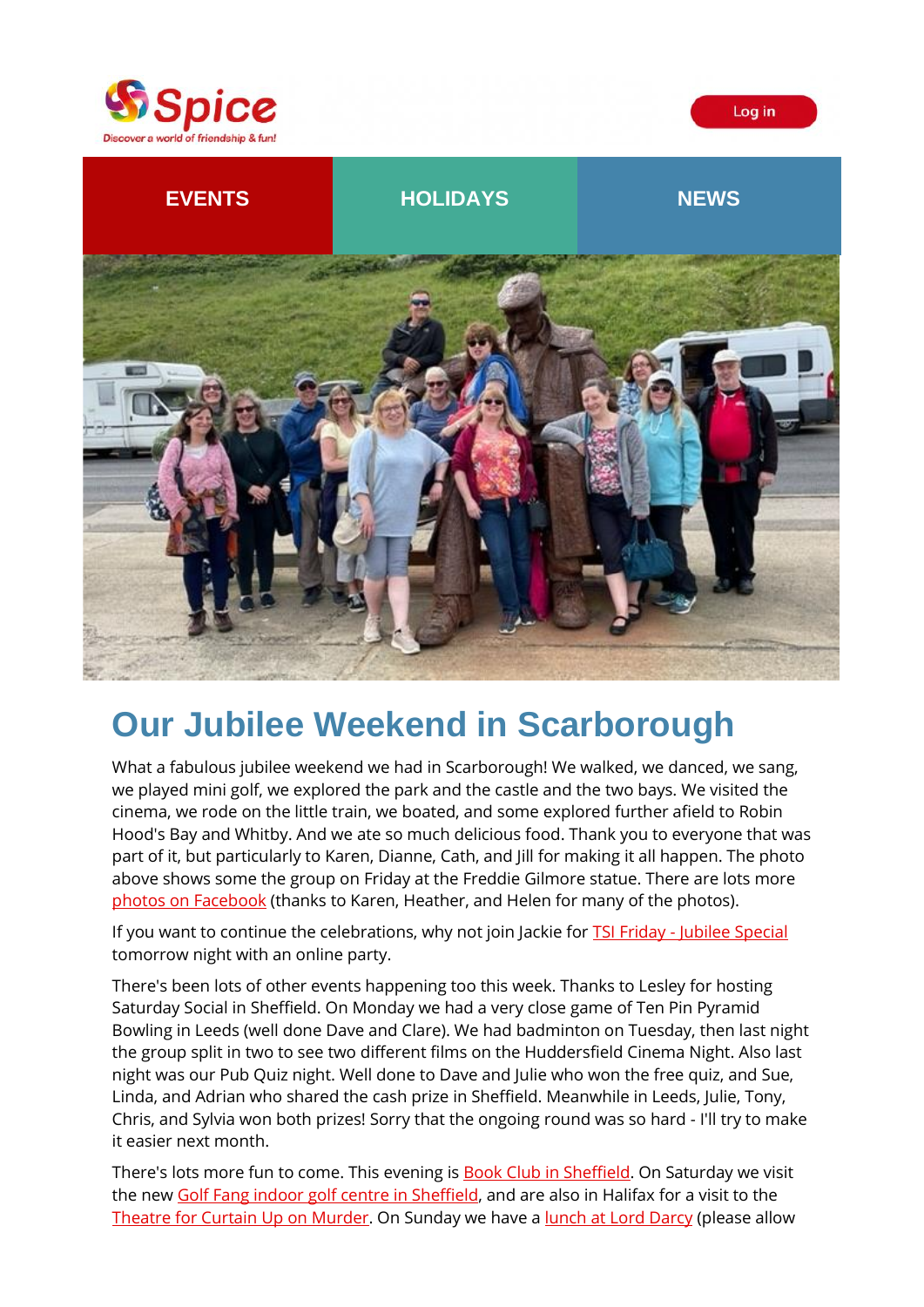





# **Our Jubilee Weekend in Scarborough**

What a fabulous jubilee weekend we had in Scarborough! We walked, we danced, we sang, we played mini golf, we explored the park and the castle and the two bays. We visited the cinema, we rode on the little train, we boated, and some explored further afield to Robin Hood's Bay and Whitby. And we ate so much delicious food. Thank you to everyone that was part of it, but particularly to Karen, Dianne, Cath, and Jill for making it all happen. The photo above shows some the group on Friday at the Freddie Gilmore statue. There are lots more [photos on Facebook](https://spiceuk.lt.acemlna.com/Prod/link-tracker?redirectUrl=aHR0cHMlM0ElMkYlMkZ3d3cuZmFjZWJvb2suY29tJTJGbWVkaWElMkZzZXQlMkYlM0ZzZXQlM0RhLjEwMTU4NjI2NjY5MzcwODg3&sig=AtaazV2MqK82fJW7AoacigGdQLaTd5cnMKjaF47UbjX7&iat=1654790319&a=%7C%7C650344965%7C%7C&account=spiceuk%2Eactivehosted%2Ecom&email=1lNuJE%2BrfgC%2F8jRYTdcwIV8mo4ad0FCroTtAVDq%2FbzQ%3D&s=b900027c55ea3ffe9431fd4817f89468&i=362A373A4A9574) (thanks to Karen, Heather, and Helen for many of the photos).

If you want to continue the celebrations, why not join Jackie for **TSI Friday - [Jubilee Special](https://spiceuk.lt.acemlna.com/Prod/link-tracker?redirectUrl=aHR0cHMlM0ElMkYlMkZ3d3cuc3BpY2V1ay5jb20lMkZldmVudHMtaG9saWRheXMlMkZvbmxpbmUtZXhjbHVzaXZlLXRzaS1mcmlkYXktanViaWxlZS1zcGVjaWFs&sig=2bXLX8kSaKxKRSW2Ahw3DCXaE2Mpj5xsea25vf92whpy&iat=1654790319&a=%7C%7C650344965%7C%7C&account=spiceuk%2Eactivehosted%2Ecom&email=1lNuJE%2BrfgC%2F8jRYTdcwIV8mo4ad0FCroTtAVDq%2FbzQ%3D&s=b900027c55ea3ffe9431fd4817f89468&i=362A373A4A9575)** tomorrow night with an online party.

There's been lots of other events happening too this week. Thanks to Lesley for hosting Saturday Social in Sheffield. On Monday we had a very close game of Ten Pin Pyramid Bowling in Leeds (well done Dave and Clare). We had badminton on Tuesday, then last night the group split in two to see two different films on the Huddersfield Cinema Night. Also last night was our Pub Quiz night. Well done to Dave and Julie who won the free quiz, and Sue, Linda, and Adrian who shared the cash prize in Sheffield. Meanwhile in Leeds, Julie, Tony, Chris, and Sylvia won both prizes! Sorry that the ongoing round was so hard - I'll try to make it easier next month.

There's lots more fun to come. This evening is **Book Club in Sheffield**. On Saturday we visit the new [Golf Fang indoor golf centre in Sheffield,](https://spiceuk.lt.acemlna.com/Prod/link-tracker?redirectUrl=aHR0cHMlM0ElMkYlMkZ3d3cuc3BpY2V1ay5jb20lMkZldmVudHMtaG9saWRheXMlMkZpbmRvb3ItZ29sZi1hdC1nb2xmLWZhbmctc2hlZmZpZWxk&sig=Htm8ecLQHNAsSAbnMAPUhGst51JGq6gZN2TFHzy8wZzw&iat=1654790319&a=%7C%7C650344965%7C%7C&account=spiceuk%2Eactivehosted%2Ecom&email=1lNuJE%2BrfgC%2F8jRYTdcwIV8mo4ad0FCroTtAVDq%2FbzQ%3D&s=b900027c55ea3ffe9431fd4817f89468&i=362A373A4A9577) and are also in Halifax for a visit to the [Theatre for Curtain Up on Murder.](https://spiceuk.lt.acemlna.com/Prod/link-tracker?redirectUrl=aHR0cHMlM0ElMkYlMkZ3d3cuc3BpY2V1ay5jb20lMkZldmVudHMtaG9saWRheXMlMkZ0aGVhdHJlLWN1cnRhaW4tdXAtb24tbXVyZGVyLWF0LWhhbGlmYXgtcGxheWhvdXNl&sig=7FjQrw4mPuFEySsPg64gvQ9bRzu89UD5pyKapbXepFWF&iat=1654790319&a=%7C%7C650344965%7C%7C&account=spiceuk%2Eactivehosted%2Ecom&email=1lNuJE%2BrfgC%2F8jRYTdcwIV8mo4ad0FCroTtAVDq%2FbzQ%3D&s=b900027c55ea3ffe9431fd4817f89468&i=362A373A4A9552) On Sunday we have a [lunch at Lord Darcy](https://spiceuk.lt.acemlna.com/Prod/link-tracker?redirectUrl=aHR0cHMlM0ElMkYlMkZ3d3cuc3BpY2V1ay5jb20lMkZldmVudHMtaG9saWRheXMlMkZzdW5kYXktbHVuY2gtYXQtdGhlLWxvcmQtZGFyY3ktbGVlZHM=&sig=5E65BPwNCnB1wYc2QLnn5vYSuuqqu5KezkrfviCfsiWE&iat=1654790319&a=%7C%7C650344965%7C%7C&account=spiceuk%2Eactivehosted%2Ecom&email=1lNuJE%2BrfgC%2F8jRYTdcwIV8mo4ad0FCroTtAVDq%2FbzQ%3D&s=b900027c55ea3ffe9431fd4817f89468&i=362A373A4A9578) (please allow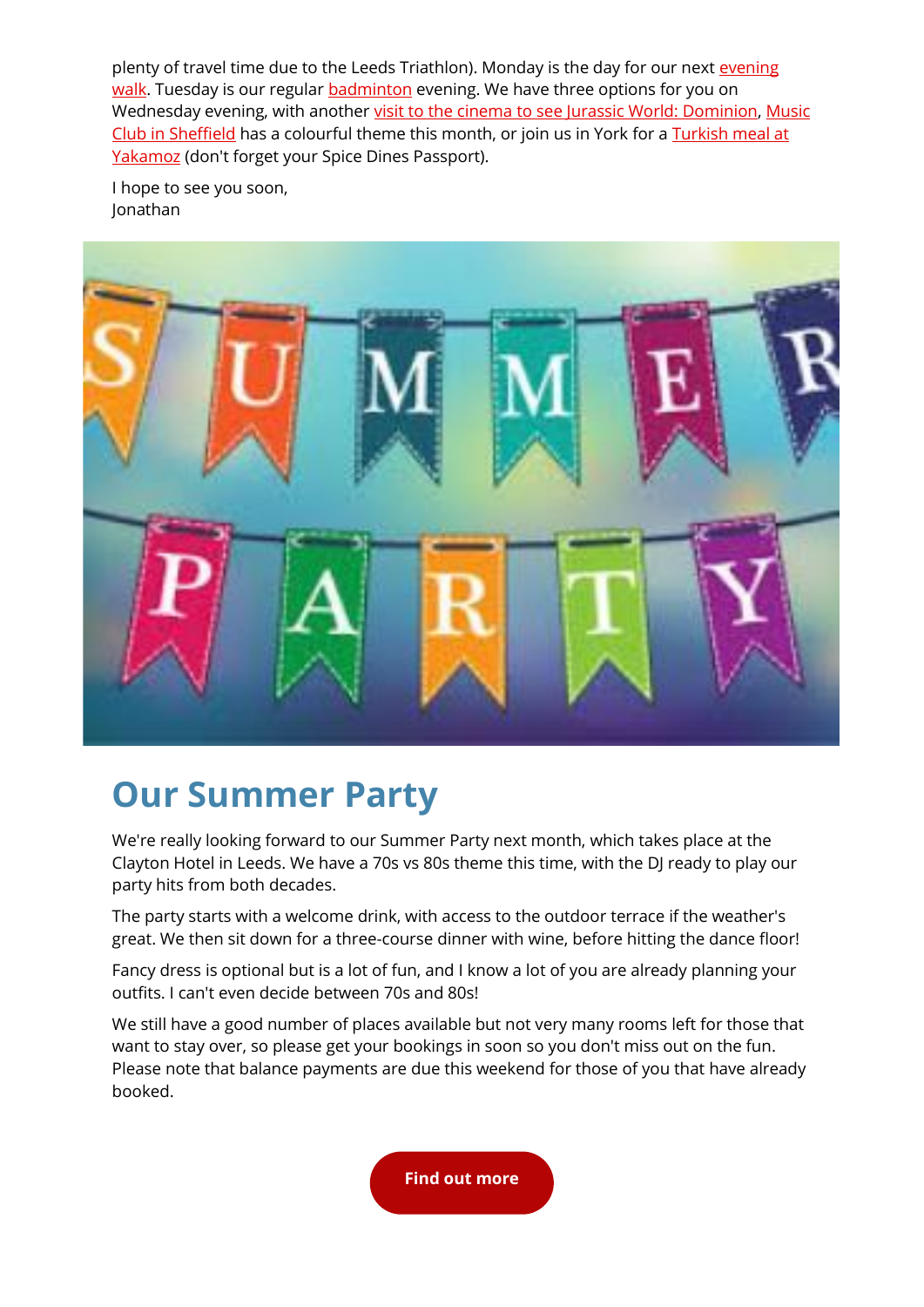plenty of travel time due to the Leeds Triathlon). Monday is the day for our next evening [walk.](https://spiceuk.lt.acemlna.com/Prod/link-tracker?redirectUrl=aHR0cHMlM0ElMkYlMkZ3d3cuc3BpY2V1ay5jb20lMkZldmVudHMtaG9saWRheXMlMkZldmVuaW5nLXdhbGstb3NzZXR0LXRvLWhvcmJ1cnktYnJpZGdl&sig=2Kogai4cgDNdHp3nnzqVCAaeiYdUwdumrQaohvPJYa9o&iat=1654790319&a=%7C%7C650344965%7C%7C&account=spiceuk%2Eactivehosted%2Ecom&email=1lNuJE%2BrfgC%2F8jRYTdcwIV8mo4ad0FCroTtAVDq%2FbzQ%3D&s=b900027c55ea3ffe9431fd4817f89468&i=362A373A4A9536) Tuesday is our regular **badminton** evening. We have three options for you on Wednesday evening, with another [visit to the cinema to see Jurassic World: Dominion,](https://spiceuk.lt.acemlna.com/Prod/link-tracker?redirectUrl=aHR0cHMlM0ElMkYlMkZ3d3cuc3BpY2V1ay5jb20lMkZldmVudHMtaG9saWRheXMlMkZjaW5lbWEtbmlnaHQtYXQtaHVkZGVyc2ZpZWxkLW9kZW9uLTE1LWp1bi0yMg==&sig=3B9m7Xup6Fu92Myv1qF2LiBM2xBHcW2VBLw9wMp9o5LA&iat=1654790319&a=%7C%7C650344965%7C%7C&account=spiceuk%2Eactivehosted%2Ecom&email=1lNuJE%2BrfgC%2F8jRYTdcwIV8mo4ad0FCroTtAVDq%2FbzQ%3D&s=b900027c55ea3ffe9431fd4817f89468&i=362A373A4A9580) [Music](https://spiceuk.lt.acemlna.com/Prod/link-tracker?redirectUrl=aHR0cHMlM0ElMkYlMkZ3d3cuc3BpY2V1ay5jb20lMkZldmVudHMtaG9saWRheXMlMkZtdXNpYy1jbHViLXNoZWZmaWVsZC0xNS1qdW4tMjI=&sig=C1YK2TWQtN68XeSXnu7QSDDRVFNp35FAeFHVGphT6s3&iat=1654790319&a=%7C%7C650344965%7C%7C&account=spiceuk%2Eactivehosted%2Ecom&email=1lNuJE%2BrfgC%2F8jRYTdcwIV8mo4ad0FCroTtAVDq%2FbzQ%3D&s=b900027c55ea3ffe9431fd4817f89468&i=362A373A4A9553)  [Club in Sheffield](https://spiceuk.lt.acemlna.com/Prod/link-tracker?redirectUrl=aHR0cHMlM0ElMkYlMkZ3d3cuc3BpY2V1ay5jb20lMkZldmVudHMtaG9saWRheXMlMkZtdXNpYy1jbHViLXNoZWZmaWVsZC0xNS1qdW4tMjI=&sig=C1YK2TWQtN68XeSXnu7QSDDRVFNp35FAeFHVGphT6s3&iat=1654790319&a=%7C%7C650344965%7C%7C&account=spiceuk%2Eactivehosted%2Ecom&email=1lNuJE%2BrfgC%2F8jRYTdcwIV8mo4ad0FCroTtAVDq%2FbzQ%3D&s=b900027c55ea3ffe9431fd4817f89468&i=362A373A4A9553) has a colourful theme this month, or join us in York for a [Turkish meal at](https://spiceuk.lt.acemlna.com/Prod/link-tracker?redirectUrl=aHR0cHMlM0ElMkYlMkZ3d3cuc3BpY2V1ay5jb20lMkZldmVudHMtaG9saWRheXMlMkZzcGljZS1kaW5lcy10dXJraXNoLWF0LXlha2Ftb3oteW9yaw==&sig=63vTHJHecWTzneQPrHqWm16cUEUPVTrwRDBToGx7NMXQ&iat=1654790319&a=%7C%7C650344965%7C%7C&account=spiceuk%2Eactivehosted%2Ecom&email=1lNuJE%2BrfgC%2F8jRYTdcwIV8mo4ad0FCroTtAVDq%2FbzQ%3D&s=b900027c55ea3ffe9431fd4817f89468&i=362A373A4A9554)  [Yakamoz](https://spiceuk.lt.acemlna.com/Prod/link-tracker?redirectUrl=aHR0cHMlM0ElMkYlMkZ3d3cuc3BpY2V1ay5jb20lMkZldmVudHMtaG9saWRheXMlMkZzcGljZS1kaW5lcy10dXJraXNoLWF0LXlha2Ftb3oteW9yaw==&sig=63vTHJHecWTzneQPrHqWm16cUEUPVTrwRDBToGx7NMXQ&iat=1654790319&a=%7C%7C650344965%7C%7C&account=spiceuk%2Eactivehosted%2Ecom&email=1lNuJE%2BrfgC%2F8jRYTdcwIV8mo4ad0FCroTtAVDq%2FbzQ%3D&s=b900027c55ea3ffe9431fd4817f89468&i=362A373A4A9554) (don't forget your Spice Dines Passport).

I hope to see you soon, Jonathan



# **Our Summer Party**

We're really looking forward to our Summer Party next month, which takes place at the Clayton Hotel in Leeds. We have a 70s vs 80s theme this time, with the DJ ready to play our party hits from both decades.

The party starts with a welcome drink, with access to the outdoor terrace if the weather's great. We then sit down for a three-course dinner with wine, before hitting the dance floor!

Fancy dress is optional but is a lot of fun, and I know a lot of you are already planning your outfits. I can't even decide between 70s and 80s!

We still have a good number of places available but not very many rooms left for those that want to stay over, so please get your bookings in soon so you don't miss out on the fun. Please note that balance payments are due this weekend for those of you that have already booked.

**[Find out more](https://spiceuk.lt.acemlna.com/Prod/link-tracker?redirectUrl=aHR0cHMlM0ElMkYlMkZ3d3cuc3BpY2V1ay5jb20lMkZldmVudHMtaG9saWRheXMlMkZ0aGUtc3BpY2UteW9ya3NoaXJlLXN1bW1lci1wYXJ0eS0yMDIy&sig=FScfayPJ78nZPxNcMnrKJ1G7JwTxgrBuWbQmvY4zoeLo&iat=1654790319&a=%7C%7C650344965%7C%7C&account=spiceuk%2Eactivehosted%2Ecom&email=1lNuJE%2BrfgC%2F8jRYTdcwIV8mo4ad0FCroTtAVDq%2FbzQ%3D&s=b900027c55ea3ffe9431fd4817f89468&i=362A373A4A9581)**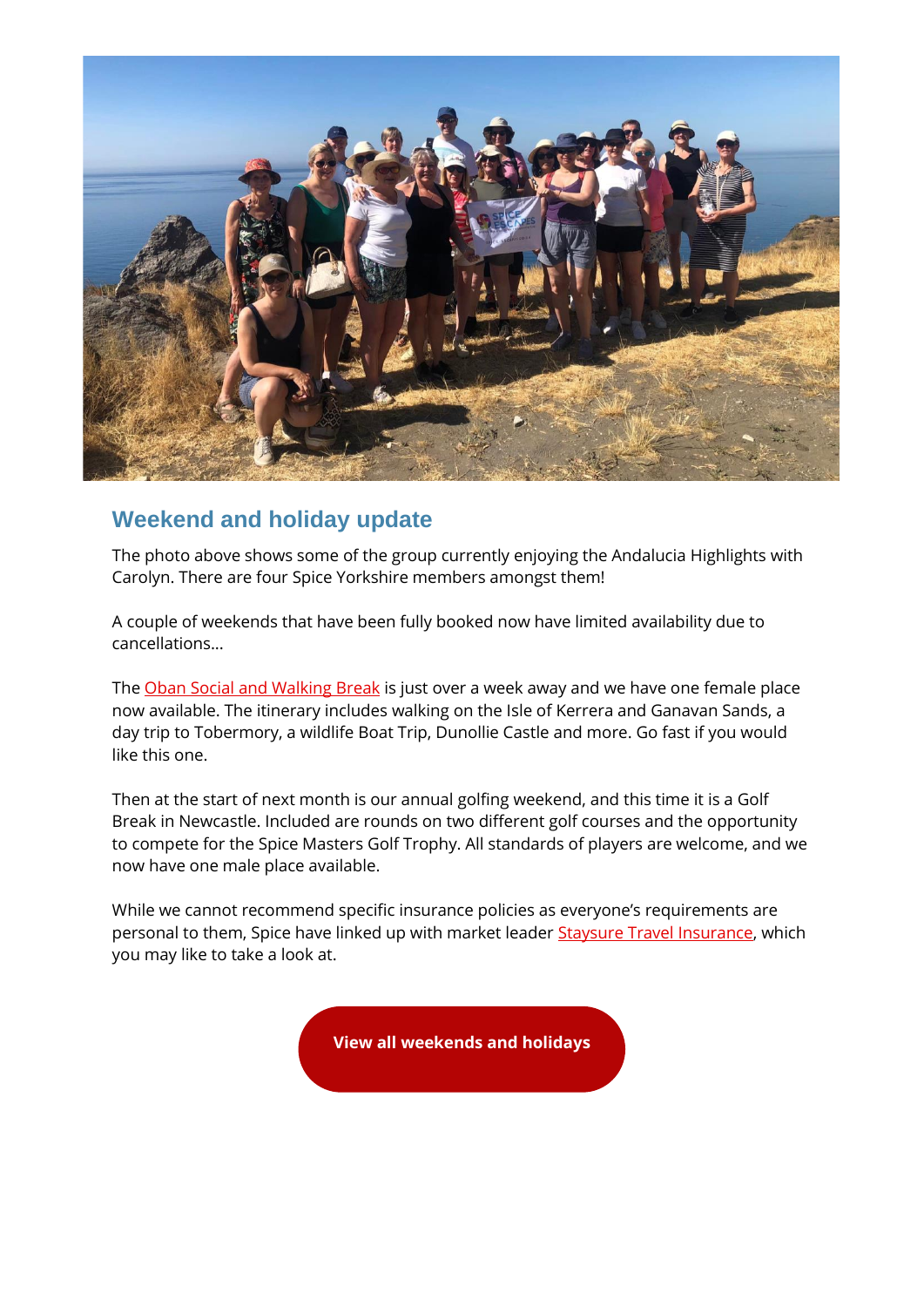

### **Weekend and holiday update**

The photo above shows some of the group currently enjoying the Andalucia Highlights with Carolyn. There are four Spice Yorkshire members amongst them!

A couple of weekends that have been fully booked now have limited availability due to cancellations...

The [Oban Social and Walking Break](https://spiceuk.lt.acemlna.com/Prod/link-tracker?redirectUrl=aHR0cHMlM0ElMkYlMkZ3d3cuc3BpY2V1ay5jb20lMkZldmVudHMtaG9saWRheXMlMkZvYmFuLXNvY2lhbC1hbmQtd2Fsa2luZy1icmVhaw==&sig=GpcjZkCCUdQfaPJ5dXLVAhyYwmqKTmUr1YGsmZU2YCi&iat=1654790319&a=%7C%7C650344965%7C%7C&account=spiceuk%2Eactivehosted%2Ecom&email=1lNuJE%2BrfgC%2F8jRYTdcwIV8mo4ad0FCroTtAVDq%2FbzQ%3D&s=b900027c55ea3ffe9431fd4817f89468&i=362A373A4A9582) is just over a week away and we have one female place now available. The itinerary includes walking on the Isle of Kerrera and Ganavan Sands, a day trip to Tobermory, a wildlife Boat Trip, Dunollie Castle and more. Go fast if you would like this one.

Then at the start of next month is our annual golfing weekend, and this time it is a Golf Break in Newcastle. Included are rounds on two different golf courses and the opportunity to compete for the Spice Masters Golf Trophy. All standards of players are welcome, and we now have one male place available.

While we cannot recommend specific insurance policies as everyone's requirements are personal to them, Spice have linked up with market leader [Staysure Travel Insurance,](https://spiceuk.lt.acemlna.com/Prod/link-tracker?redirectUrl=aHR0cHMlM0ElMkYlMkZwcmYuaG4lMkZjbGljayUyRmNhbXJlZiUzQTExMDFsa1FzTg==&sig=6cwFkEyUvHdQaEBFgW8LpL9dhrHRL4t1u5UYh5k5oErg&iat=1654790319&a=%7C%7C650344965%7C%7C&account=spiceuk%2Eactivehosted%2Ecom&email=1lNuJE%2BrfgC%2F8jRYTdcwIV8mo4ad0FCroTtAVDq%2FbzQ%3D&s=b900027c55ea3ffe9431fd4817f89468&i=362A373A4A9549) which you may like to take a look at.

**[View all weekends and holidays](https://spiceuk.lt.acemlna.com/Prod/link-tracker?redirectUrl=aHR0cHMlM0ElMkYlMkZ3d3cuc3BpY2V1ay5jb20lMkZldmVudHMtaG9saWRheXMlM0Zvd25lciUzREFsbCUyNm1hc3RlckNhdGVnb3J5JTNESG9saWRheXMlMjZtYXN0ZXJDYXRlZ29yeSUzRFdlZWtlbmRzJTI1MjBBd2F5&sig=CcPtFzfiHtGycmwjNpUadpw52KAbnmBcUuChwy5r8g6B&iat=1654790319&a=%7C%7C650344965%7C%7C&account=spiceuk%2Eactivehosted%2Ecom&email=1lNuJE%2BrfgC%2F8jRYTdcwIV8mo4ad0FCroTtAVDq%2FbzQ%3D&s=b900027c55ea3ffe9431fd4817f89468&i=362A373A4A9546)**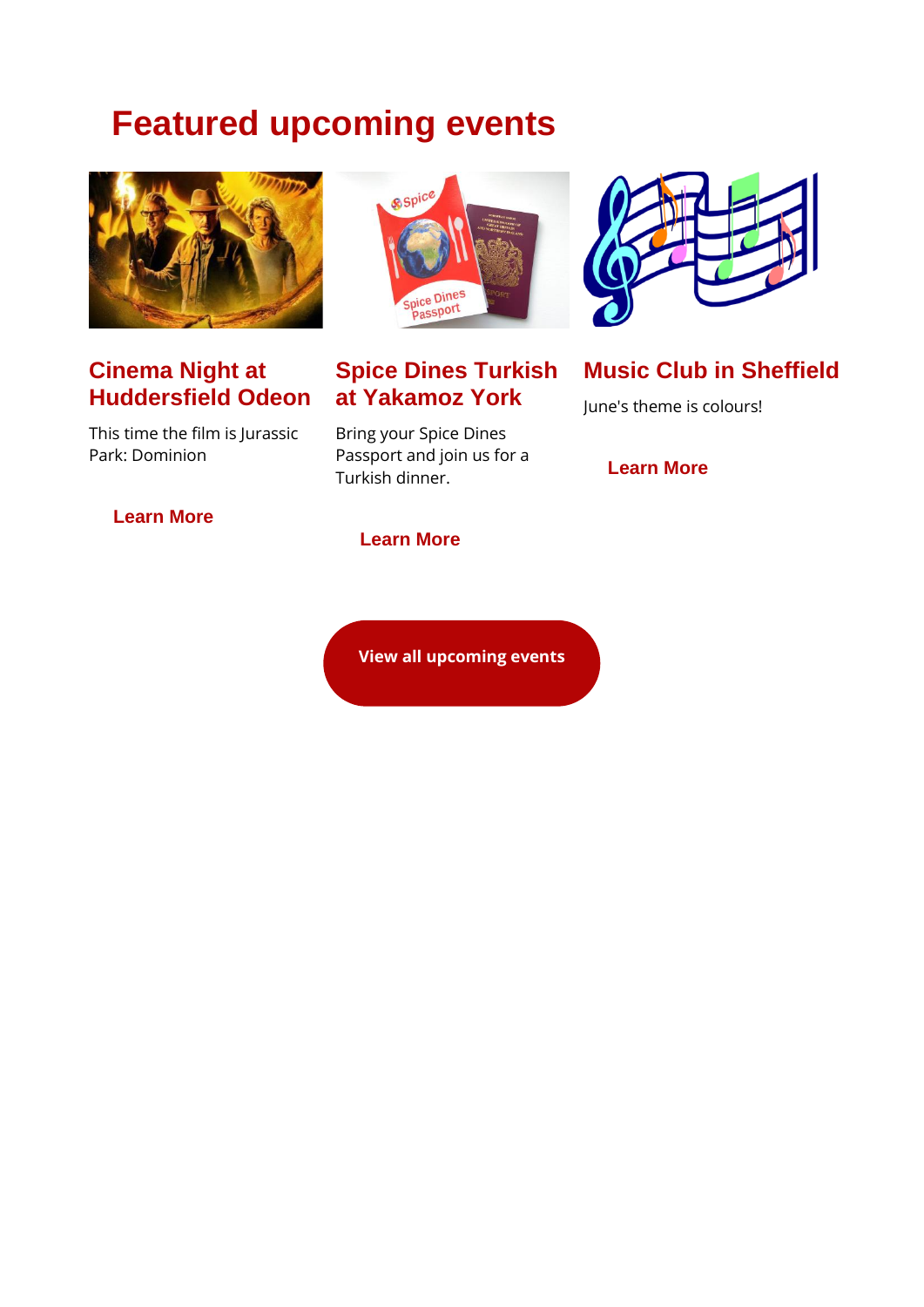## **Featured upcoming events**



### **Cinema Night at Huddersfield Odeon**

This time the film is Jurassic Park: Dominion





### **Spice Dines Turkish at Yakamoz York**

Bring your Spice Dines Passport and join us for a Turkish dinner.

**[Learn More](https://spiceuk.lt.acemlna.com/Prod/link-tracker?redirectUrl=aHR0cHMlM0ElMkYlMkZ3d3cuc3BpY2V1ay5jb20lMkZldmVudHMtaG9saWRheXMlMkZzcGljZS1kaW5lcy10dXJraXNoLWF0LXlha2Ftb3oteW9yaw==&sig=63vTHJHecWTzneQPrHqWm16cUEUPVTrwRDBToGx7NMXQ&iat=1654790319&a=%7C%7C650344965%7C%7C&account=spiceuk%2Eactivehosted%2Ecom&email=1lNuJE%2BrfgC%2F8jRYTdcwIV8mo4ad0FCroTtAVDq%2FbzQ%3D&s=b900027c55ea3ffe9431fd4817f89468&i=362A373A4A9554)**



**Music Club in Sheffield** June's theme is colours!

**[Learn More](https://spiceuk.lt.acemlna.com/Prod/link-tracker?redirectUrl=aHR0cHMlM0ElMkYlMkZ3d3cuc3BpY2V1ay5jb20lMkZldmVudHMtaG9saWRheXMlMkZtdXNpYy1jbHViLXNoZWZmaWVsZC0xNS1qdW4tMjI=&sig=C1YK2TWQtN68XeSXnu7QSDDRVFNp35FAeFHVGphT6s3&iat=1654790319&a=%7C%7C650344965%7C%7C&account=spiceuk%2Eactivehosted%2Ecom&email=1lNuJE%2BrfgC%2F8jRYTdcwIV8mo4ad0FCroTtAVDq%2FbzQ%3D&s=b900027c55ea3ffe9431fd4817f89468&i=362A373A4A9553)**

### **[View all upcoming events](https://spiceuk.lt.acemlna.com/Prod/link-tracker?redirectUrl=aHR0cHMlM0ElMkYlMkZ3d3cuc3BpY2V1ay5jb20lMkZldmVudHMtaG9saWRheXMlM0ZtYXN0ZXJDYXRlZ29yeSUzREFsbCUyNmNhdGVnb3J5JTNEQWxsJTI2b3duZXIlM0RBbGw=&sig=BvHq1dCywwtKR9t9FcqxhFPEVBJrrQtmKHNqUfqfriBf&iat=1654790319&a=%7C%7C650344965%7C%7C&account=spiceuk%2Eactivehosted%2Ecom&email=1lNuJE%2BrfgC%2F8jRYTdcwIV8mo4ad0FCroTtAVDq%2FbzQ%3D&s=b900027c55ea3ffe9431fd4817f89468&i=362A373A4A9528)**